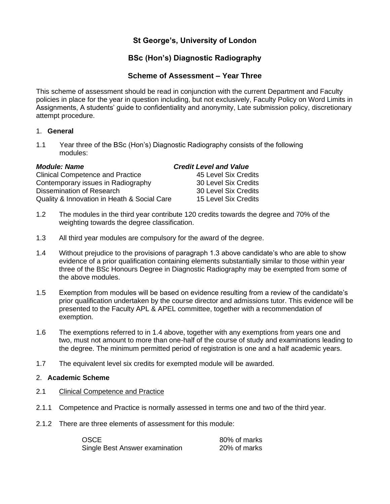# **St George's, University of London**

# **BSc (Hon's) Diagnostic Radiography**

# **Scheme of Assessment – Year Three**

This scheme of assessment should be read in conjunction with the current Department and Faculty policies in place for the year in question including, but not exclusively, Faculty Policy on Word Limits in Assignments, A students' guide to confidentiality and anonymity, Late submission policy, discretionary attempt procedure.

# 1. **General**

1.1 Year three of the BSc (Hon's) Diagnostic Radiography consists of the following modules:

| <b>Clinical Competence and Practice</b>     | 45 Level Six Credits |
|---------------------------------------------|----------------------|
| Contemporary issues in Radiography          | 30 Level Six Credits |
| Dissemination of Research                   | 30 Level Six Credits |
| Quality & Innovation in Heath & Social Care | 15 Level Six Credits |

# *Module: Name Credit Level and Value*

|  | 45 Level Six Credits |
|--|----------------------|
|  | 30 Level Six Credits |
|  | 30 Level Six Credits |
|  | 15 Level Six Credits |

- 1.2 The modules in the third year contribute 120 credits towards the degree and 70% of the weighting towards the degree classification.
- 1.3 All third year modules are compulsory for the award of the degree.
- 1.4 Without prejudice to the provisions of paragraph 1.3 above candidate's who are able to show evidence of a prior qualification containing elements substantially similar to those within year three of the BSc Honours Degree in Diagnostic Radiography may be exempted from some of the above modules.
- 1.5 Exemption from modules will be based on evidence resulting from a review of the candidate's prior qualification undertaken by the course director and admissions tutor. This evidence will be presented to the Faculty APL & APEL committee, together with a recommendation of exemption.
- 1.6 The exemptions referred to in 1.4 above, together with any exemptions from years one and two, must not amount to more than one-half of the course of study and examinations leading to the degree. The minimum permitted period of registration is one and a half academic years.
- 1.7 The equivalent level six credits for exempted module will be awarded.

### 2. **Academic Scheme**

- 2.1 Clinical Competence and Practice
- 2.1.1 Competence and Practice is normally assessed in terms one and two of the third year.
- 2.1.2 There are three elements of assessment for this module:

| <b>OSCE</b>                    | 80% of marks |
|--------------------------------|--------------|
| Single Best Answer examination | 20% of marks |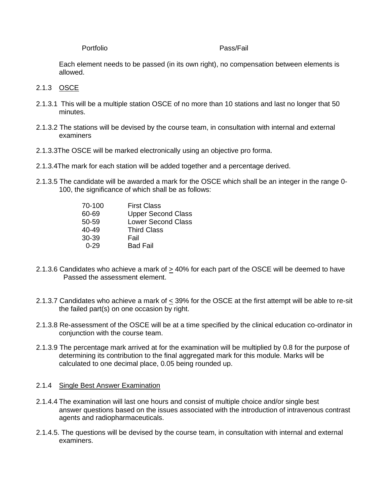#### Portfolio Pass/Fail

Each element needs to be passed (in its own right), no compensation between elements is allowed.

# 2.1.3 OSCE

- 2.1.3.1 This will be a multiple station OSCE of no more than 10 stations and last no longer that 50 minutes.
- 2.1.3.2 The stations will be devised by the course team, in consultation with internal and external examiners
- 2.1.3.3The OSCE will be marked electronically using an objective pro forma.
- 2.1.3.4The mark for each station will be added together and a percentage derived.
- 2.1.3.5 The candidate will be awarded a mark for the OSCE which shall be an integer in the range 0- 100, the significance of which shall be as follows:

| 70-100    | <b>First Class</b>        |
|-----------|---------------------------|
| 60-69     | <b>Upper Second Class</b> |
| 50-59     | <b>Lower Second Class</b> |
| $40 - 49$ | <b>Third Class</b>        |
| 30-39     | Fail                      |
| 0-29      | <b>Bad Fail</b>           |

- 2.1.3.6 Candidates who achieve a mark of > 40% for each part of the OSCE will be deemed to have Passed the assessment element.
- 2.1.3.7 Candidates who achieve a mark of  $\leq$  39% for the OSCE at the first attempt will be able to re-sit the failed part(s) on one occasion by right.
- 2.1.3.8 Re-assessment of the OSCE will be at a time specified by the clinical education co-ordinator in conjunction with the course team.
- 2.1.3.9 The percentage mark arrived at for the examination will be multiplied by 0.8 for the purpose of determining its contribution to the final aggregated mark for this module. Marks will be calculated to one decimal place, 0.05 being rounded up.

### 2.1.4 Single Best Answer Examination

- 2.1.4.4 The examination will last one hours and consist of multiple choice and/or single best answer questions based on the issues associated with the introduction of intravenous contrast agents and radiopharmaceuticals.
- 2.1.4.5. The questions will be devised by the course team, in consultation with internal and external examiners.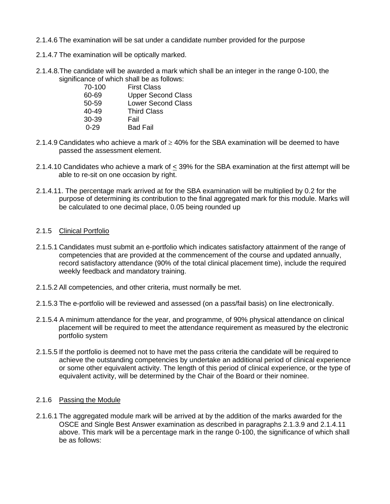- 2.1.4.6 The examination will be sat under a candidate number provided for the purpose
- 2.1.4.7 The examination will be optically marked.
- 2.1.4.8.The candidate will be awarded a mark which shall be an integer in the range 0-100, the significance of which shall be as follows:

| 70-100    | <b>First Class</b>        |
|-----------|---------------------------|
| 60-69     | <b>Upper Second Class</b> |
| 50-59     | <b>Lower Second Class</b> |
| $40 - 49$ | <b>Third Class</b>        |
| 30-39     | Fail                      |
| $0 - 29$  | <b>Bad Fail</b>           |

- 2.1.4.9 Candidates who achieve a mark of  $\geq$  40% for the SBA examination will be deemed to have passed the assessment element.
- 2.1.4.10 Candidates who achieve a mark of  $\leq$  39% for the SBA examination at the first attempt will be able to re-sit on one occasion by right.
- 2.1.4.11. The percentage mark arrived at for the SBA examination will be multiplied by 0.2 for the purpose of determining its contribution to the final aggregated mark for this module. Marks will be calculated to one decimal place, 0.05 being rounded up

## 2.1.5 Clinical Portfolio

- 2.1.5.1 Candidates must submit an e-portfolio which indicates satisfactory attainment of the range of competencies that are provided at the commencement of the course and updated annually, record satisfactory attendance (90% of the total clinical placement time), include the required weekly feedback and mandatory training.
- 2.1.5.2 All competencies, and other criteria, must normally be met.
- 2.1.5.3 The e-portfolio will be reviewed and assessed (on a pass/fail basis) on line electronically.
- 2.1.5.4 A minimum attendance for the year, and programme, of 90% physical attendance on clinical placement will be required to meet the attendance requirement as measured by the electronic portfolio system
- 2.1.5.5 If the portfolio is deemed not to have met the pass criteria the candidate will be required to achieve the outstanding competencies by undertake an additional period of clinical experience or some other equivalent activity. The length of this period of clinical experience, or the type of equivalent activity, will be determined by the Chair of the Board or their nominee.

### 2.1.6 Passing the Module

2.1.6.1 The aggregated module mark will be arrived at by the addition of the marks awarded for the OSCE and Single Best Answer examination as described in paragraphs 2.1.3.9 and 2.1.4.11 above. This mark will be a percentage mark in the range 0-100, the significance of which shall be as follows: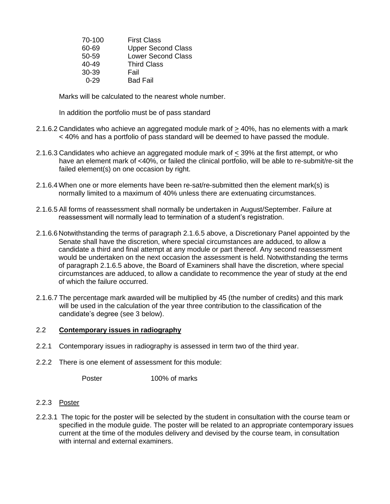| 70-100 | <b>First Class</b>        |
|--------|---------------------------|
| 60-69  | <b>Upper Second Class</b> |
| 50-59  | <b>Lower Second Class</b> |
| 40-49  | <b>Third Class</b>        |
| 30-39  | Fail                      |
| 0-29   | <b>Bad Fail</b>           |

Marks will be calculated to the nearest whole number.

In addition the portfolio must be of pass standard

- 2.1.6.2 Candidates who achieve an aggregated module mark of  $\geq$  40%, has no elements with a mark < 40% and has a portfolio of pass standard will be deemed to have passed the module.
- 2.1.6.3 Candidates who achieve an aggregated module mark of < 39% at the first attempt, or who have an element mark of <40%, or failed the clinical portfolio, will be able to re-submit/re-sit the failed element(s) on one occasion by right.
- 2.1.6.4When one or more elements have been re-sat/re-submitted then the element mark(s) is normally limited to a maximum of 40% unless there are extenuating circumstances.
- 2.1.6.5 All forms of reassessment shall normally be undertaken in August/September. Failure at reassessment will normally lead to termination of a student's registration.
- 2.1.6.6 Notwithstanding the terms of paragraph 2.1.6.5 above, a Discretionary Panel appointed by the Senate shall have the discretion, where special circumstances are adduced, to allow a candidate a third and final attempt at any module or part thereof. Any second reassessment would be undertaken on the next occasion the assessment is held. Notwithstanding the terms of paragraph 2.1.6.5 above, the Board of Examiners shall have the discretion, where special circumstances are adduced, to allow a candidate to recommence the year of study at the end of which the failure occurred.
- 2.1.6.7 The percentage mark awarded will be multiplied by 45 (the number of credits) and this mark will be used in the calculation of the year three contribution to the classification of the candidate's degree (see 3 below).

# 2.2 **Contemporary issues in radiography**

- 2.2.1 Contemporary issues in radiography is assessed in term two of the third year.
- 2.2.2 There is one element of assessment for this module:

Poster 100% of marks

### 2.2.3 Poster

2.2.3.1 The topic for the poster will be selected by the student in consultation with the course team or specified in the module guide. The poster will be related to an appropriate contemporary issues current at the time of the modules delivery and devised by the course team, in consultation with internal and external examiners.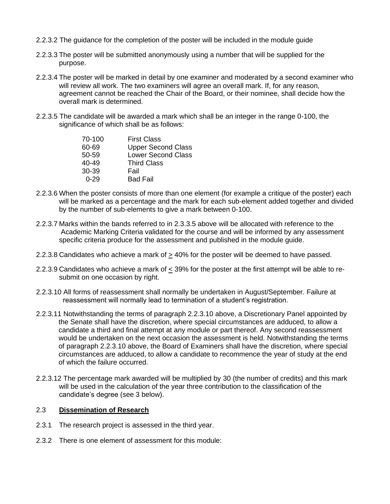- 2.2.3.2 The guidance for the completion of the poster will be included in the module guide
- 2.2.3.3 The poster will be submitted anonymously using a number that will be supplied for the purpose.
- 2.2.3.4 The poster will be marked in detail by one examiner and moderated by a second examiner who will review all work. The two examiners will agree an overall mark. If, for any reason, agreement cannot be reached the Chair of the Board, or their nominee, shall decide how the overall mark is determined.
- 2.2.3.5 The candidate will be awarded a mark which shall be an integer in the range 0-100, the significance of which shall be as follows:

| 70-100    | <b>First Class</b>        |
|-----------|---------------------------|
| 60-69     | <b>Upper Second Class</b> |
| $50 - 59$ | <b>Lower Second Class</b> |
| $40 - 49$ | <b>Third Class</b>        |
| $30-39$   | Fail                      |
| በ-29      | <b>Bad Fail</b>           |

- 2.2.3.6 When the poster consists of more than one element (for example a critique of the poster) each will be marked as a percentage and the mark for each sub-element added together and divided by the number of sub-elements to give a mark between 0-100.
- 2.2.3.7 Marks within the bands referred to in 2.3.3.5 above will be allocated with reference to the Academic Marking Criteria validated for the course and will be informed by any assessment specific criteria produce for the assessment and published in the module guide.
- 2.2.3.8 Candidates who achieve a mark of  $\geq$  40% for the poster will be deemed to have passed.
- 2.2.3.9 Candidates who achieve a mark of < 39% for the poster at the first attempt will be able to resubmit on one occasion by right.
- 2.2.3.10 All forms of reassessment shall normally be undertaken in August/September. Failure at reassessment will normally lead to termination of a student's registration.
- 2.2.3.11 Notwithstanding the terms of paragraph 2.2.3.10 above, a Discretionary Panel appointed by the Senate shall have the discretion, where special circumstances are adduced, to allow a candidate a third and final attempt at any module or part thereof. Any second reassessment would be undertaken on the next occasion the assessment is held. Notwithstanding the terms of paragraph 2.2.3.10 above, the Board of Examiners shall have the discretion, where special circumstances are adduced, to allow a candidate to recommence the year of study at the end of which the failure occurred.
- 2.2.3.12 The percentage mark awarded will be multiplied by 30 (the number of credits) and this mark will be used in the calculation of the year three contribution to the classification of the candidate's degree (see 3 below).

# 2.3 **Dissemination of Research**

- 2.3.1 The research project is assessed in the third year.
- 2.3.2 There is one element of assessment for this module: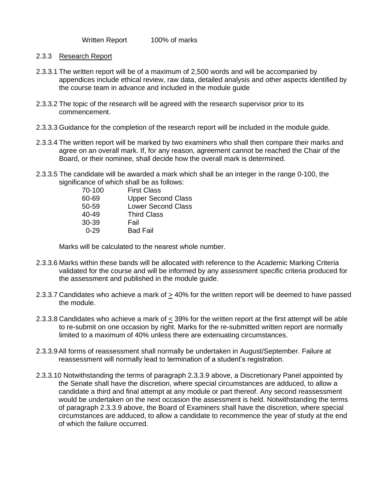Written Report 100% of marks

- 2.3.3 Research Report
- 2.3.3.1 The written report will be of a maximum of 2,500 words and will be accompanied by appendices include ethical review, raw data, detailed analysis and other aspects identified by the course team in advance and included in the module guide
- 2.3.3.2 The topic of the research will be agreed with the research supervisor prior to its commencement.
- 2.3.3.3 Guidance for the completion of the research report will be included in the module guide.
- 2.3.3.4 The written report will be marked by two examiners who shall then compare their marks and agree on an overall mark. If, for any reason, agreement cannot be reached the Chair of the Board, or their nominee, shall decide how the overall mark is determined.
- 2.3.3.5 The candidate will be awarded a mark which shall be an integer in the range 0-100, the significance of which shall be as follows:

| 70-100    | <b>First Class</b>        |
|-----------|---------------------------|
| 60-69     | <b>Upper Second Class</b> |
| 50-59     | <b>Lower Second Class</b> |
| $40 - 49$ | <b>Third Class</b>        |
| $30-39$   | Fail                      |
| 0-29      | <b>Bad Fail</b>           |

Marks will be calculated to the nearest whole number.

- 2.3.3.6 Marks within these bands will be allocated with reference to the Academic Marking Criteria validated for the course and will be informed by any assessment specific criteria produced for the assessment and published in the module guide.
- 2.3.3.7 Candidates who achieve a mark of > 40% for the written report will be deemed to have passed the module.
- 2.3.3.8 Candidates who achieve a mark of < 39% for the written report at the first attempt will be able to re-submit on one occasion by right. Marks for the re-submitted written report are normally limited to a maximum of 40% unless there are extenuating circumstances.
- 2.3.3.9All forms of reassessment shall normally be undertaken in August/September. Failure at reassessment will normally lead to termination of a student's registration.
- 2.3.3.10 Notwithstanding the terms of paragraph 2.3.3.9 above, a Discretionary Panel appointed by the Senate shall have the discretion, where special circumstances are adduced, to allow a candidate a third and final attempt at any module or part thereof. Any second reassessment would be undertaken on the next occasion the assessment is held. Notwithstanding the terms of paragraph 2.3.3.9 above, the Board of Examiners shall have the discretion, where special circumstances are adduced, to allow a candidate to recommence the year of study at the end of which the failure occurred.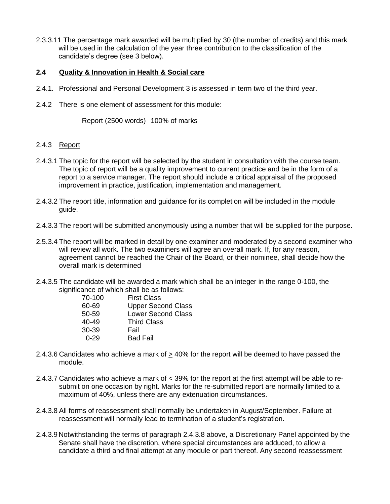2.3.3.11 The percentage mark awarded will be multiplied by 30 (the number of credits) and this mark will be used in the calculation of the year three contribution to the classification of the candidate's degree (see 3 below).

# **2.4 Quality & Innovation in Health & Social care**

- 2.4.1. Professional and Personal Development 3 is assessed in term two of the third year.
- 2.4.2 There is one element of assessment for this module:

Report (2500 words) 100% of marks

# 2.4.3 Report

- 2.4.3.1 The topic for the report will be selected by the student in consultation with the course team. The topic of report will be a quality improvement to current practice and be in the form of a report to a service manager. The report should include a critical appraisal of the proposed improvement in practice, justification, implementation and management.
- 2.4.3.2 The report title, information and guidance for its completion will be included in the module guide.
- 2.4.3.3 The report will be submitted anonymously using a number that will be supplied for the purpose.
- 2.5.3.4 The report will be marked in detail by one examiner and moderated by a second examiner who will review all work. The two examiners will agree an overall mark. If, for any reason, agreement cannot be reached the Chair of the Board, or their nominee, shall decide how the overall mark is determined
- 2.4.3.5 The candidate will be awarded a mark which shall be an integer in the range 0-100, the significance of which shall be as follows:

| 70-100    | <b>First Class</b>        |
|-----------|---------------------------|
| 60-69     | <b>Upper Second Class</b> |
| 50-59     | <b>Lower Second Class</b> |
| $40 - 49$ | <b>Third Class</b>        |
| 30-39     | Fail                      |
| በ-29      | <b>Bad Fail</b>           |

- 2.4.3.6 Candidates who achieve a mark of > 40% for the report will be deemed to have passed the module.
- 2.4.3.7 Candidates who achieve a mark of < 39% for the report at the first attempt will be able to resubmit on one occasion by right. Marks for the re-submitted report are normally limited to a maximum of 40%, unless there are any extenuation circumstances.
- 2.4.3.8 All forms of reassessment shall normally be undertaken in August/September. Failure at reassessment will normally lead to termination of a student's registration.
- 2.4.3.9 Notwithstanding the terms of paragraph 2.4.3.8 above, a Discretionary Panel appointed by the Senate shall have the discretion, where special circumstances are adduced, to allow a candidate a third and final attempt at any module or part thereof. Any second reassessment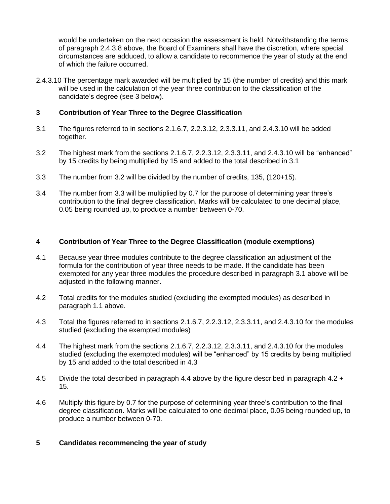would be undertaken on the next occasion the assessment is held. Notwithstanding the terms of paragraph 2.4.3.8 above, the Board of Examiners shall have the discretion, where special circumstances are adduced, to allow a candidate to recommence the year of study at the end of which the failure occurred.

2.4.3.10 The percentage mark awarded will be multiplied by 15 (the number of credits) and this mark will be used in the calculation of the year three contribution to the classification of the candidate's degree (see 3 below).

# **3 Contribution of Year Three to the Degree Classification**

- 3.1 The figures referred to in sections 2.1.6.7, 2.2.3.12, 2.3.3.11, and 2.4.3.10 will be added together.
- 3.2 The highest mark from the sections 2.1.6.7, 2.2.3.12, 2.3.3.11, and 2.4.3.10 will be "enhanced" by 15 credits by being multiplied by 15 and added to the total described in 3.1
- 3.3 The number from 3.2 will be divided by the number of credits, 135, (120+15).
- 3.4 The number from 3.3 will be multiplied by 0.7 for the purpose of determining year three's contribution to the final degree classification. Marks will be calculated to one decimal place, 0.05 being rounded up, to produce a number between 0-70.

# **4 Contribution of Year Three to the Degree Classification (module exemptions)**

- 4.1 Because year three modules contribute to the degree classification an adjustment of the formula for the contribution of year three needs to be made. If the candidate has been exempted for any year three modules the procedure described in paragraph 3.1 above will be adjusted in the following manner.
- 4.2 Total credits for the modules studied (excluding the exempted modules) as described in paragraph 1.1 above.
- 4.3 Total the figures referred to in sections 2.1.6.7, 2.2.3.12, 2.3.3.11, and 2.4.3.10 for the modules studied (excluding the exempted modules)
- 4.4 The highest mark from the sections 2.1.6.7, 2.2.3.12, 2.3.3.11, and 2.4.3.10 for the modules studied (excluding the exempted modules) will be "enhanced" by 15 credits by being multiplied by 15 and added to the total described in 4.3
- 4.5 Divide the total described in paragraph 4.4 above by the figure described in paragraph 4.2 + 15.
- 4.6 Multiply this figure by 0.7 for the purpose of determining year three's contribution to the final degree classification. Marks will be calculated to one decimal place, 0.05 being rounded up, to produce a number between 0-70.

# **5 Candidates recommencing the year of study**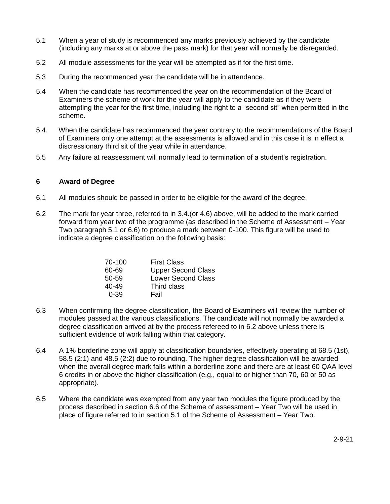- 5.1 When a year of study is recommenced any marks previously achieved by the candidate (including any marks at or above the pass mark) for that year will normally be disregarded.
- 5.2 All module assessments for the year will be attempted as if for the first time.
- 5.3 During the recommenced year the candidate will be in attendance.
- 5.4 When the candidate has recommenced the year on the recommendation of the Board of Examiners the scheme of work for the year will apply to the candidate as if they were attempting the year for the first time, including the right to a "second sit" when permitted in the scheme.
- 5.4. When the candidate has recommenced the year contrary to the recommendations of the Board of Examiners only one attempt at the assessments is allowed and in this case it is in effect a discressionary third sit of the year while in attendance.
- 5.5 Any failure at reassessment will normally lead to termination of a student's registration.

### **6 Award of Degree**

- 6.1 All modules should be passed in order to be eligible for the award of the degree.
- 6.2 The mark for year three, referred to in 3.4.(or 4.6) above, will be added to the mark carried forward from year two of the programme (as described in the Scheme of Assessment – Year Two paragraph 5.1 or 6.6) to produce a mark between 0-100. This figure will be used to indicate a degree classification on the following basis:

| 70-100 | <b>First Class</b>        |
|--------|---------------------------|
| 60-69  | <b>Upper Second Class</b> |
| 50-59  | <b>Lower Second Class</b> |
| 40-49  | Third class               |
| 0-39   | Fail                      |

- 6.3 When confirming the degree classification, the Board of Examiners will review the number of modules passed at the various classifications. The candidate will not normally be awarded a degree classification arrived at by the process refereed to in 6.2 above unless there is sufficient evidence of work falling within that category.
- 6.4 A 1% borderline zone will apply at classification boundaries, effectively operating at 68.5 (1st), 58.5 (2:1) and 48.5 (2:2) due to rounding. The higher degree classification will be awarded when the overall degree mark falls within a borderline zone and there are at least 60 QAA level 6 credits in or above the higher classification (e.g., equal to or higher than 70, 60 or 50 as appropriate).
- 6.5 Where the candidate was exempted from any year two modules the figure produced by the process described in section 6.6 of the Scheme of assessment – Year Two will be used in place of figure referred to in section 5.1 of the Scheme of Assessment – Year Two.